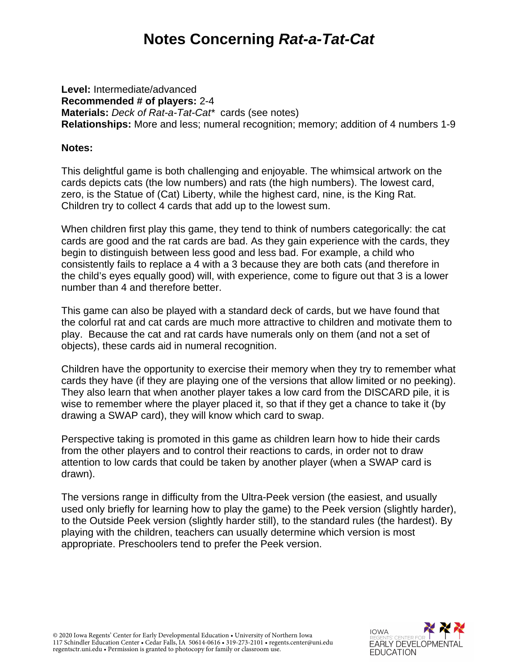# **Notes Concerning** *Rat-a-Tat-Cat*

**Level:** Intermediate/advanced **Recommended # of players:** 2-4 **Materials:** *Deck of Rat-a-Tat-Cat\** cards (see notes) **Relationships:** More and less; numeral recognition; memory; addition of 4 numbers 1-9

### **Notes:**

This delightful game is both challenging and enjoyable. The whimsical artwork on the cards depicts cats (the low numbers) and rats (the high numbers). The lowest card, zero, is the Statue of (Cat) Liberty, while the highest card, nine, is the King Rat. Children try to collect 4 cards that add up to the lowest sum.

When children first play this game, they tend to think of numbers categorically: the cat cards are good and the rat cards are bad. As they gain experience with the cards, they begin to distinguish between less good and less bad. For example, a child who consistently fails to replace a 4 with a 3 because they are both cats (and therefore in the child's eyes equally good) will, with experience, come to figure out that 3 is a lower number than 4 and therefore better.

This game can also be played with a standard deck of cards, but we have found that the colorful rat and cat cards are much more attractive to children and motivate them to play. Because the cat and rat cards have numerals only on them (and not a set of objects), these cards aid in numeral recognition.

Children have the opportunity to exercise their memory when they try to remember what cards they have (if they are playing one of the versions that allow limited or no peeking). They also learn that when another player takes a low card from the DISCARD pile, it is wise to remember where the player placed it, so that if they get a chance to take it (by drawing a SWAP card), they will know which card to swap.

Perspective taking is promoted in this game as children learn how to hide their cards from the other players and to control their reactions to cards, in order not to draw attention to low cards that could be taken by another player (when a SWAP card is drawn).

The versions range in difficulty from the Ultra-Peek version (the easiest, and usually used only briefly for learning how to play the game) to the Peek version (slightly harder), to the Outside Peek version (slightly harder still), to the standard rules (the hardest). By playing with the children, teachers can usually determine which version is most appropriate. Preschoolers tend to prefer the Peek version.

© 2020 Iowa Regents' Center for Early Developmental Education • University of Northern Iowa 117 Schindler Education Center • Cedar Falls, IA 50614-0616 • 319-273-2101 • regents.center@uni.edu regentsctr.uni.edu • Permission is granted to photocopy for family or classroom use.

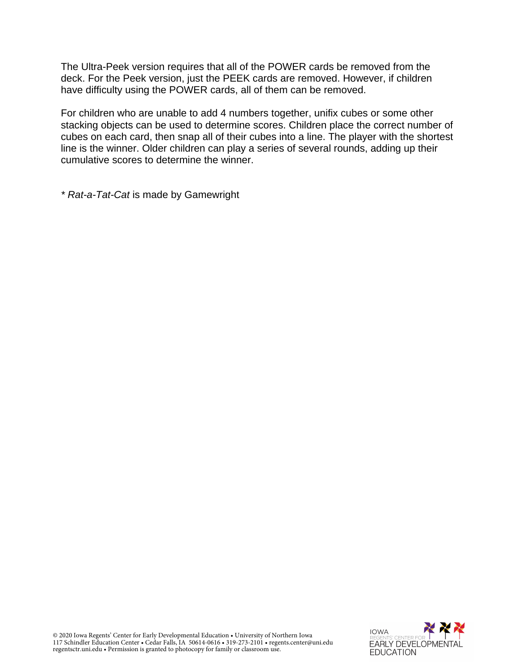The Ultra-Peek version requires that all of the POWER cards be removed from the deck. For the Peek version, just the PEEK cards are removed. However, if children have difficulty using the POWER cards, all of them can be removed.

For children who are unable to add 4 numbers together, unifix cubes or some other stacking objects can be used to determine scores. Children place the correct number of cubes on each card, then snap all of their cubes into a line. The player with the shortest line is the winner. Older children can play a series of several rounds, adding up their cumulative scores to determine the winner.

*\* Rat-a-Tat-Cat* is made by Gamewright

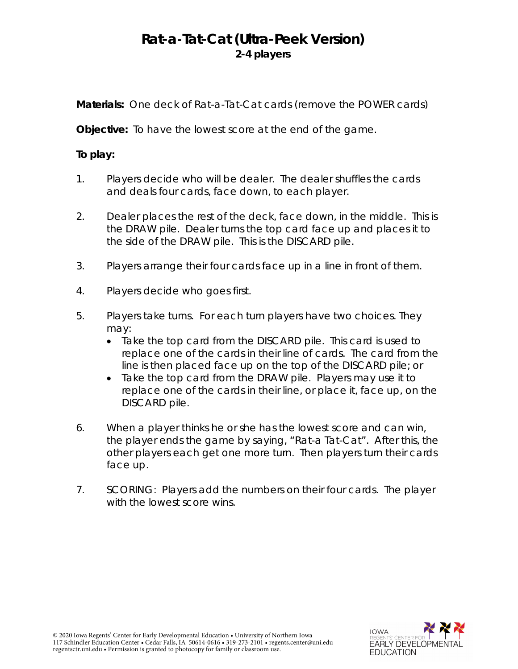## **Rat-a-Tat-Cat (Ultra-Peek Version) 2-4 players**

**Materials:** One deck of *Rat-a-Tat-Cat* cards (remove the POWER cards)

**Objective:** To have the lowest score at the end of the game.

### **To play:**

- 1. Players decide who will be dealer. The dealer shuffles the cards and deals four cards, face down, to each player.
- 2. Dealer places the rest of the deck, face down, in the middle. This is the DRAW pile. Dealer turns the top card face up and places it to the side of the DRAW pile. This is the DISCARD pile.
- 3. Players arrange their four cards face up in a line in front of them.
- 4. Players decide who goes first.
- 5. Players take turns. For each turn players have two choices. They may:
	- Take the top card from the DISCARD pile. This card is used to replace one of the cards in their line of cards. The card from the line is then placed face up on the top of the DISCARD pile; or
	- Take the top card from the DRAW pile. Players may use it to replace one of the cards in their line, or place it, face up, on the DISCARD pile.
- 6. When a player thinks he or she has the lowest score and can win, the player ends the game by saying, "Rat-a Tat-Cat". After this, the other players each get one more turn. Then players turn their cards face up.
- 7. SCORING: Players add the numbers on their four cards. The player with the lowest score wins.

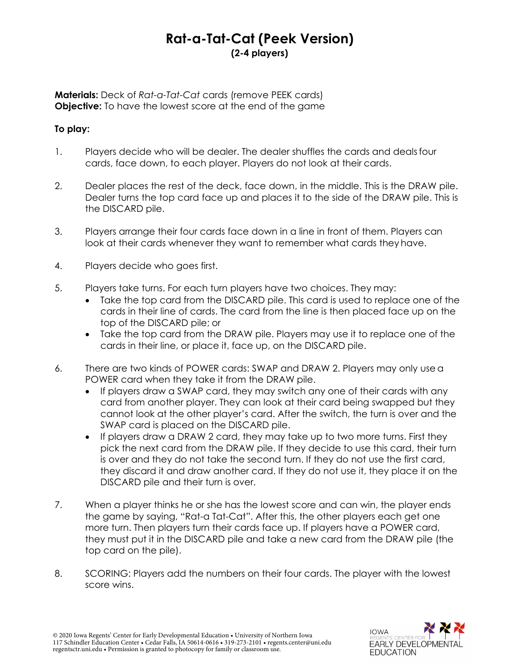## **Rat-a-Tat-Cat (Peek Version) (2-4 players)**

**Materials:** Deck of *Rat-a-Tat-Cat* cards (remove PEEK cards) **Objective:** To have the lowest score at the end of the game

### **To play:**

- 1. Players decide who will be dealer. The dealer shuffles the cards and dealsfour cards, face down, to each player. Players do not look at their cards.
- 2. Dealer places the rest of the deck, face down, in the middle. This is the DRAW pile. Dealer turns the top card face up and places it to the side of the DRAW pile. This is the DISCARD pile.
- 3. Players arrange their four cards face down in a line in front of them. Players can look at their cards whenever they want to remember what cards they have.
- 4. Players decide who goes first.
- 5. Players take turns. For each turn players have two choices. They may:
	- Take the top card from the DISCARD pile. This card is used to replace one of the cards in their line of cards. The card from the line is then placed face up on the top of the DISCARD pile; or
	- Take the top card from the DRAW pile. Players may use it to replace one of the cards in their line, or place it, face up, on the DISCARD pile.
- 6. There are two kinds of POWER cards: SWAP and DRAW 2. Players may only use a POWER card when they take it from the DRAW pile.
	- If players draw a SWAP card, they may switch any one of their cards with any card from another player. They can look at their card being swapped but they cannot look at the other player's card. After the switch, the turn is over and the SWAP card is placed on the DISCARD pile.
	- If players draw a DRAW 2 card, they may take up to two more turns. First they pick the next card from the DRAW pile. If they decide to use this card, their turn is over and they do not take the second turn. If they do not use the first card, they discard it and draw another card. If they do not use it, they place it on the DISCARD pile and their turn is over.
- 7. When a player thinks he or she has the lowest score and can win, the player ends the game by saying, "Rat-a Tat-Cat". After this, the other players each get one more turn. Then players turn their cards face up. If players have a POWER card, they must put it in the DISCARD pile and take a new card from the DRAW pile (the top card on the pile).
- 8. SCORING: Players add the numbers on their four cards. The player with the lowest score wins.